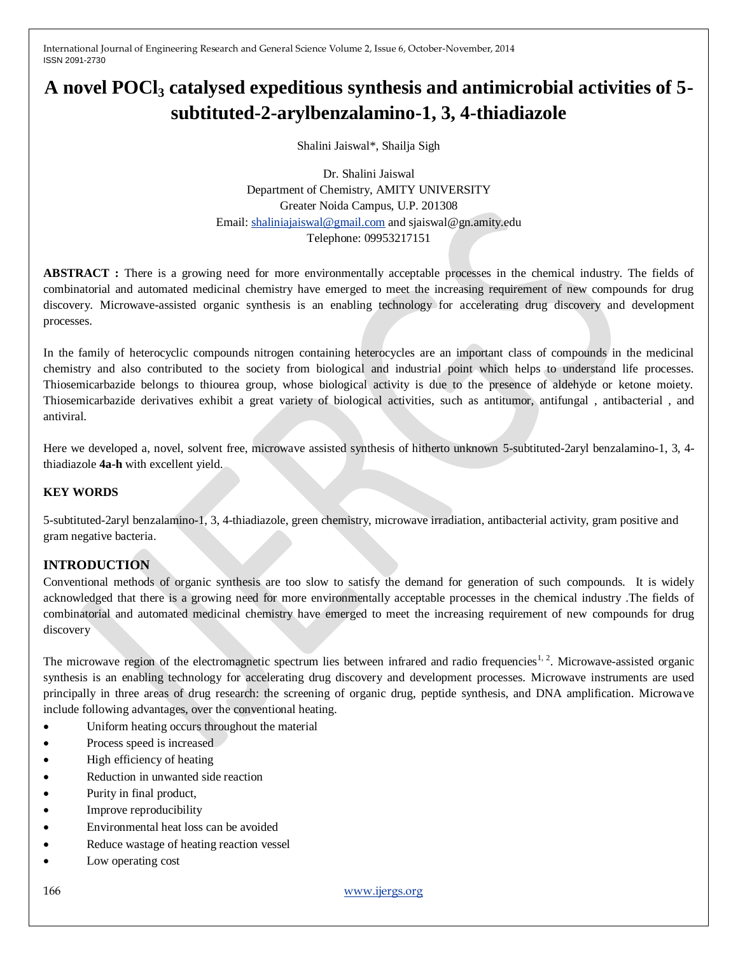# **A novel POCl<sup>3</sup> catalysed expeditious synthesis and antimicrobial activities of 5 subtituted-2-arylbenzalamino-1, 3, 4-thiadiazole**

Shalini Jaiswal\*, Shailja Sigh

Dr. Shalini Jaiswal Department of Chemistry, AMITY UNIVERSITY Greater Noida Campus, U.P. 201308 Email[: shaliniajaiswal@gmail.com](mailto:shaliniajaiswal@gmail.com) and sjaiswal@gn.amity.edu Telephone: 09953217151

**ABSTRACT :** There is a growing need for more environmentally acceptable processes in the chemical industry. The fields of combinatorial and automated medicinal chemistry have emerged to meet the increasing requirement of new compounds for drug discovery. Microwave-assisted organic synthesis is an enabling technology for accelerating drug discovery and development processes.

In the family of heterocyclic compounds nitrogen containing heterocycles are an important class of compounds in the medicinal chemistry and also contributed to the society from biological and industrial point which helps to understand life processes. Thiosemicarbazide belongs to thiourea group, whose biological activity is due to the presence of aldehyde or ketone moiety. Thiosemicarbazide derivatives exhibit a great variety of biological activities, such as antitumor, antifungal , antibacterial , and antiviral.

Here we developed a, novel, solvent free, microwave assisted synthesis of hitherto unknown 5-subtituted-2aryl benzalamino-1, 3, 4 thiadiazole **4a-h** with excellent yield.

#### **KEY WORDS**

5-subtituted-2aryl benzalamino-1, 3, 4-thiadiazole, green chemistry, microwave irradiation, antibacterial activity, gram positive and gram negative bacteria.

# **INTRODUCTION**

Conventional methods of organic synthesis are too slow to satisfy the demand for generation of such compounds. It is widely acknowledged that there is a growing need for more environmentally acceptable processes in the chemical industry .The fields of combinatorial and automated medicinal chemistry have emerged to meet the increasing requirement of new compounds for drug discovery

The microwave region of the electromagnetic spectrum lies between infrared and radio frequencies<sup>1, 2</sup>. Microwave-assisted organic synthesis is an enabling technology for accelerating drug discovery and development processes. Microwave instruments are used principally in three areas of drug research: the screening of organic drug, peptide synthesis, and DNA amplification. Microwave include following advantages, over the conventional heating.

- Uniform heating occurs throughout the material
- Process speed is increased
- High efficiency of heating
- Reduction in unwanted side reaction
- Purity in final product,
- Improve reproducibility
- Environmental heat loss can be avoided
- Reduce wastage of heating reaction vessel
- Low operating cost

166 [www.ijergs.org](http://www.ijergs.org/)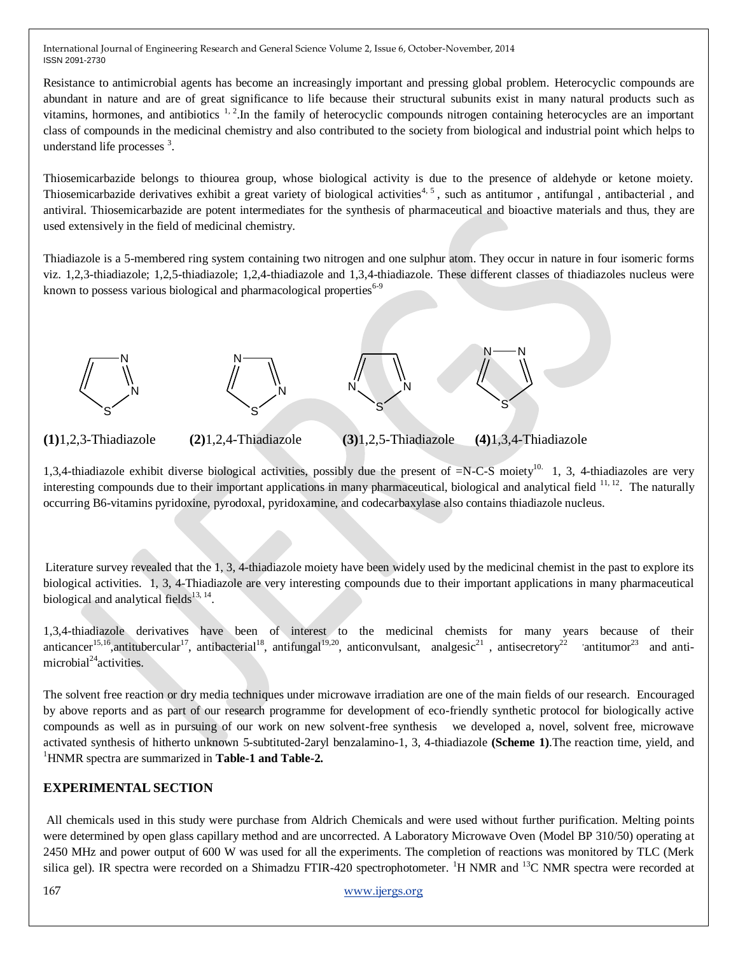Resistance to antimicrobial agents has become an increasingly important and pressing global problem. Heterocyclic compounds are abundant in nature and are of great significance to life because their structural subunits exist in many natural products such as vitamins, hormones, and antibiotics  $1, 2$ . In the family of heterocyclic compounds nitrogen containing heterocycles are an important class of compounds in the medicinal chemistry and also contributed to the society from biological and industrial point which helps to understand life processes<sup>3</sup>.

Thiosemicarbazide belongs to thiourea group, whose biological activity is due to the presence of aldehyde or ketone moiety. Thiosemicarbazide derivatives exhibit a great variety of biological activities<sup>4, 5</sup>, such as antitumor, antifungal, antibacterial, and antiviral. Thiosemicarbazide are potent intermediates for the synthesis of pharmaceutical and bioactive materials and thus, they are used extensively in the field of medicinal chemistry.

Thiadiazole is a 5-membered ring system containing two nitrogen and one sulphur atom. They occur in nature in four isomeric forms viz. 1,2,3-thiadiazole; 1,2,5-thiadiazole; 1,2,4-thiadiazole and 1,3,4-thiadiazole. These different classes of thiadiazoles nucleus were known to possess various biological and pharmacological properties<sup>6-9</sup>



**(1)**1,2,3-Thiadiazole **(2)**1,2,4-Thiadiazole **(3)**1,2,5-Thiadiazole **(4)**1,3,4-Thiadiazole

1,3,4-thiadiazole exhibit diverse biological activities, possibly due the present of  $=N-C-S$  moiety<sup>10.</sup> 1, 3, 4-thiadiazoles are very interesting compounds due to their important applications in many pharmaceutical, biological and analytical field <sup>11, 12</sup>. The naturally occurring B6-vitamins pyridoxine, pyrodoxal, pyridoxamine, and codecarbaxylase also contains thiadiazole nucleus.

Literature survey revealed that the 1, 3, 4-thiadiazole moiety have been widely used by the medicinal chemist in the past to explore its biological activities. 1, 3, 4-Thiadiazole are very interesting compounds due to their important applications in many pharmaceutical biological and analytical fields<sup>13, 14</sup>.

1,3,4-thiadiazole derivatives have been of interest to the medicinal chemists for many years because of their anticancer<sup>15,16</sup>,antitubercular<sup>17</sup>, antibacterial<sup>18</sup>, antifungal<sup>19,20</sup>, anticonvulsant, analgesic<sup>21</sup>, antisecretory<sup>22</sup> 'antitumor<sup>23</sup> and antimicrobial $^{24}$ activities.

The solvent free reaction or dry media techniques under microwave irradiation are one of the main fields of our research. Encouraged by above reports and as part of our research programme for development of eco-friendly synthetic protocol for biologically active compounds as well as in pursuing of our work on new solvent-free synthesis we developed a, novel, solvent free, microwave activated synthesis of hitherto unknown 5-subtituted-2aryl benzalamino-1, 3, 4-thiadiazole **(Scheme 1)**.The reaction time, yield, and <sup>1</sup>HNMR spectra are summarized in **Table-1 and Table-2.**

# **EXPERIMENTAL SECTION**

All chemicals used in this study were purchase from Aldrich Chemicals and were used without further purification. Melting points were determined by open glass capillary method and are uncorrected. A Laboratory Microwave Oven (Model BP 310/50) operating at 2450 MHz and power output of 600 W was used for all the experiments. The completion of reactions was monitored by TLC (Merk silica gel). IR spectra were recorded on a Shimadzu FTIR-420 spectrophotometer. <sup>1</sup>H NMR and <sup>13</sup>C NMR spectra were recorded at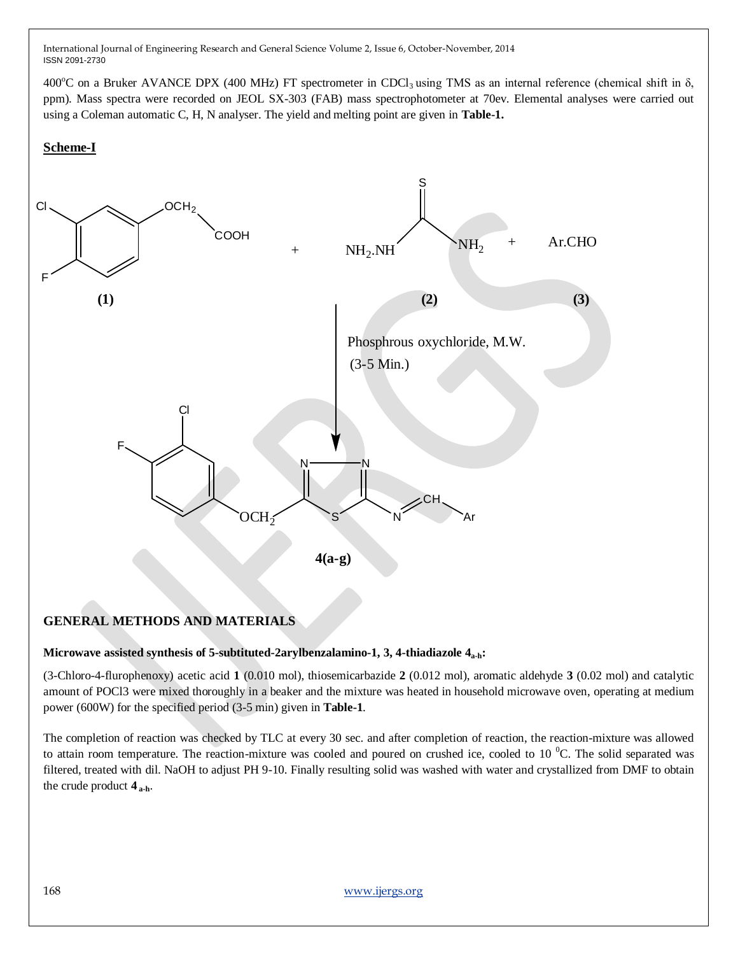400<sup>o</sup>C on a Bruker AVANCE DPX (400 MHz) FT spectrometer in CDCl<sub>3</sub> using TMS as an internal reference (chemical shift in  $\delta$ , ppm). Mass spectra were recorded on JEOL SX-303 (FAB) mass spectrophotometer at 70ev. Elemental analyses were carried out using a Coleman automatic C, H, N analyser. The yield and melting point are given in **Table-1.**

#### **Scheme-I**



# **GENERAL METHODS AND MATERIALS**

#### **Microwave assisted synthesis of 5-subtituted-2arylbenzalamino-1, 3, 4-thiadiazole 4a-h:**

(3-Chloro-4-flurophenoxy) acetic acid **1** (0.010 mol), thiosemicarbazide **2** (0.012 mol), aromatic aldehyde **3** (0.02 mol) and catalytic amount of POCl3 were mixed thoroughly in a beaker and the mixture was heated in household microwave oven, operating at medium power (600W) for the specified period (3-5 min) given in **Table-1**.

The completion of reaction was checked by TLC at every 30 sec. and after completion of reaction, the reaction-mixture was allowed to attain room temperature. The reaction-mixture was cooled and poured on crushed ice, cooled to 10 $^{0}$ C. The solid separated was filtered, treated with dil. NaOH to adjust PH 9-10. Finally resulting solid was washed with water and crystallized from DMF to obtain the crude product **4 a-h**.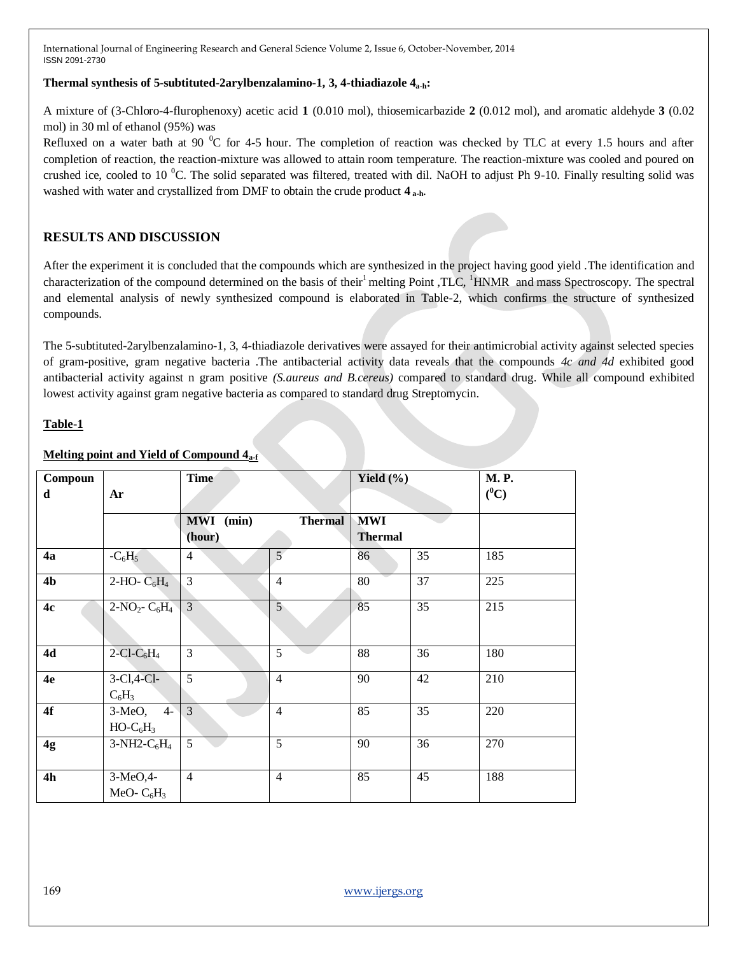#### **Thermal synthesis of 5-subtituted-2arylbenzalamino-1, 3, 4-thiadiazole 4a-h:**

A mixture of (3-Chloro-4-flurophenoxy) acetic acid **1** (0.010 mol), thiosemicarbazide **2** (0.012 mol), and aromatic aldehyde **3** (0.02 mol) in 30 ml of ethanol (95%) was

Refluxed on a water bath at 90  $\degree$ C for 4-5 hour. The completion of reaction was checked by TLC at every 1.5 hours and after completion of reaction, the reaction-mixture was allowed to attain room temperature. The reaction-mixture was cooled and poured on crushed ice, cooled to 10  $^0C$ . The solid separated was filtered, treated with dil. NaOH to adjust Ph 9-10. Finally resulting solid was washed with water and crystallized from DMF to obtain the crude product **4 a-h**.

# **RESULTS AND DISCUSSION**

After the experiment it is concluded that the compounds which are synthesized in the project having good yield .The identification and characterization of the compound determined on the basis of their<sup>1</sup>melting Point ,TLC, <sup>1</sup>HNMR and mass Spectroscopy. The spectral and elemental analysis of newly synthesized compound is elaborated in Table-2, which confirms the structure of synthesized compounds.

The 5-subtituted-2arylbenzalamino-1, 3, 4-thiadiazole derivatives were assayed for their antimicrobial activity against selected species of gram-positive, gram negative bacteria .The antibacterial activity data reveals that the compounds *4c and 4d* exhibited good antibacterial activity against n gram positive *(S.aureus and B.cereus)* compared to standard drug. While all compound exhibited lowest activity against gram negative bacteria as compared to standard drug Streptomycin.

#### **Table-1**

| Compoun<br>d   | Ar                                    | <b>Time</b>         |                | Yield $(\% )$                |                 | <b>M.P.</b><br>$(^0C)$ |
|----------------|---------------------------------------|---------------------|----------------|------------------------------|-----------------|------------------------|
|                |                                       | MWI (min)<br>(hour) | <b>Thermal</b> | <b>MWI</b><br><b>Thermal</b> |                 |                        |
| 4a             | $-C_6H_5$                             | $\overline{4}$      | 5 <sup>′</sup> | 86                           | 35              | 185                    |
| 4 <sub>b</sub> | 2-HO- $C_6H_4$                        | $\overline{3}$      | $\overline{4}$ | 80                           | $\overline{37}$ | 225                    |
| 4c             | $2-NO_2-C_6H_4$                       | $\overline{3}$      | 5 <sup>5</sup> | 85                           | 35              | 215                    |
| 4d             | $2$ -Cl-C <sub>6</sub> H <sub>4</sub> | $\overline{3}$      | 5              | 88                           | 36              | 180                    |
| 4e             | $3-Cl, 4-Cl$<br>$C_6H_3$              | $\overline{5}$      | $\overline{4}$ | 90                           | 42              | 210                    |
| 4f             | $3-MeO, 4-$<br>$HO-C6H3$              | $\mathfrak{Z}$      | $\overline{4}$ | 85                           | 35              | 220                    |
| 4g             | $3-NH2-C6H4$                          | 5                   | 5              | 90                           | 36              | 270                    |
| 4h             | 3-MeO, 4-<br>MeO- $C_6H_3$            | $\overline{4}$      | $\overline{4}$ | 85                           | 45              | 188                    |

# **Melting point and Yield of Compound 4a-f**

169 [www.ijergs.org](http://www.ijergs.org/)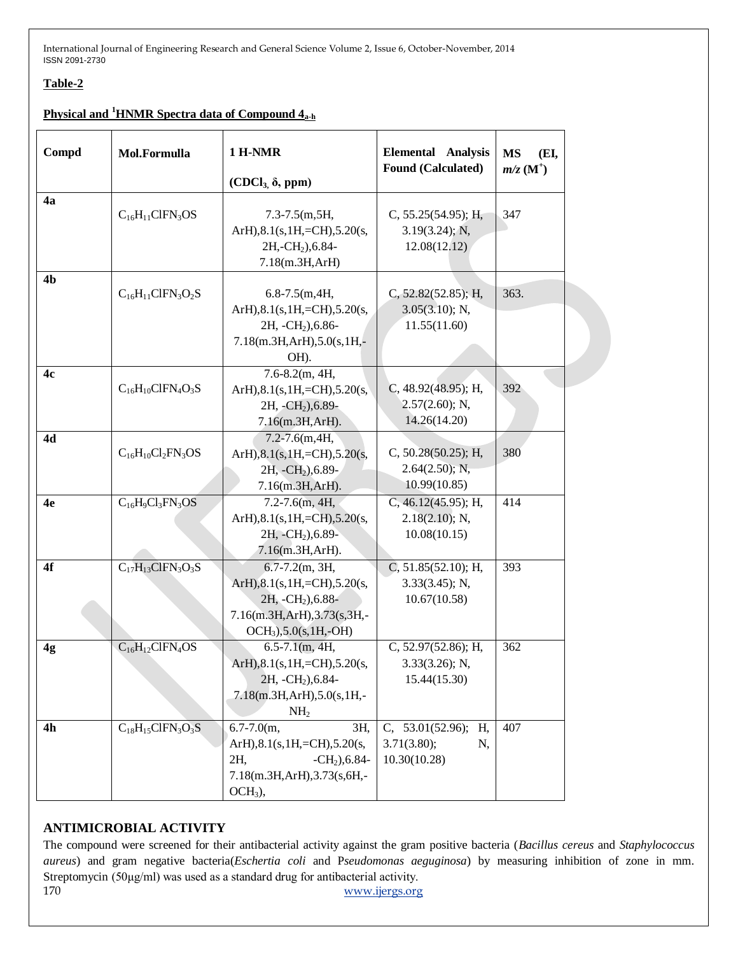# **Table-2**

# **Physical and <sup>1</sup>HNMR Spectra data of Compound 4a-h**

| Compd          | Mol.Formulla             | 1 H-NMR<br>$(CDCl3, \delta, ppm)$                                                                                                                  | <b>Elemental Analysis</b><br><b>Found (Calculated)</b>         | <b>MS</b><br>(EI,<br>$m/z$ (M <sup>+</sup> ) |
|----------------|--------------------------|----------------------------------------------------------------------------------------------------------------------------------------------------|----------------------------------------------------------------|----------------------------------------------|
| 4a             | $C_{16}H_{11}CIFN_3OS$   | $7.3 - 7.5(m, 5H,$<br>$ArH$ ), $8.1$ (s, $1H$ , $=CH$ ), $5.20$ (s,<br>2H,-CH <sub>2</sub> ), 6.84-<br>7.18(m.3H,ArH)                              | C, $55.25(54.95)$ ; H,<br>$3.19(3.24)$ ; N,<br>12.08(12.12)    | 347                                          |
| 4 <sub>b</sub> | $C_{16}H_{11}CIFN_3O_2S$ | $6.8 - 7.5(m, 4H,$<br>ArH), 8.1(s, 1H, = CH), 5.20(s,<br>2H, -CH <sub>2</sub> ), 6.86-<br>7.18(m.3H,ArH),5.0(s,1H,-<br>OH).                        | C, 52.82(52.85); H,<br>3.05(3.10); N,<br>11.55(11.60)          | 363.                                         |
| 4c             | $C_{16}H_{10}CIFN_4O_3S$ | $7.6 - 8.2(m, 4H,$<br>ArH $), 8.1$ (s, 1H, = CH $), 5.20$ (s,<br>2H, -CH <sub>2</sub> ), 6.89-<br>7.16(m.3H,ArH).                                  | C, $48.92(48.95)$ ; H,<br>$2.57(2.60)$ ; N,<br>14.26(14.20)    | 392                                          |
| 4d             | $C_{16}H_{10}Cl_2FN_3OS$ | $7.2 - 7.6(m, 4H,$<br>ArH $), 8.1$ (s, 1H, = CH $), 5.20$ (s,<br>2H, -CH <sub>2</sub> ), 6.89-<br>7.16(m.3H,ArH).                                  | C, 50.28(50.25); H,<br>2.64(2.50); N,<br>10.99(10.85)          | 380                                          |
| 4e             | $C_{16}H_9Cl_3FN_3OS$    | $7.2 - 7.6$ (m, 4H,<br>ArH $)$ , $8.1$ (s, $1H$ , $=CH$ ), $5.20$ (s,<br>2H, -CH <sub>2</sub> ), 6.89-<br>7.16(m.3H,ArH).                          | C, 46.12(45.95); H,<br>$2.18(2.10)$ ; N,<br>10.08(10.15)       | 414                                          |
| 4f             | $C_{17}H_{13}CIFN_3O_3S$ | $6.7 - 7.2(m, 3H,$<br>ArH), 8.1(s, 1H, = CH), 5.20(s,<br>2H, -CH <sub>2</sub> ), 6.88-<br>7.16(m.3H,ArH),3.73(s,3H,-<br>$OCH_3$ ), 5.0(s, 1H, -OH) | C, $51.85(52.10)$ ; H,<br>3.33(3.45); N,<br>10.67(10.58)       | 393                                          |
| 4g             | $C_{16}H_{12}CIFN_4OS$   | $6.5 - 7.1(m, 4H,$<br>ArH), $8.1$ (s, $1H$ , $=CH$ ), $5.20$ (s,<br>2H, -CH <sub>2</sub> ), 6.84-<br>7.18(m.3H,ArH),5.0(s,1H,-<br>NH <sub>2</sub>  | C, 52.97(52.86); H,<br>$3.33(3.26)$ ; N,<br>15.44(15.30)       | 362                                          |
| 4h             | $C_{18}H_{15}CIFN_3O_3S$ | $6.7 - 7.0(m,$<br>3H,<br>ArH), 8.1(s, 1H, = CH), 5.20(s,<br>2H,<br>$-CH2$ ), 6.84-<br>7.18(m.3H,ArH),3.73(s,6H,-<br>$OCH3$ ),                      | C, $53.01(52.96)$ ;<br>H,<br>3.71(3.80);<br>N,<br>10.30(10.28) | 407                                          |

#### **ANTIMICROBIAL ACTIVITY**

170 [www.ijergs.org](http://www.ijergs.org/) The compound were screened for their antibacterial activity against the gram positive bacteria (*Bacillus cereus* and *Staphylococcus aureus*) and gram negative bacteria(*Eschertia coli* and P*seudomonas aeguginosa*) by measuring inhibition of zone in mm. Streptomycin (50μg/ml) was used as a standard drug for antibacterial activity.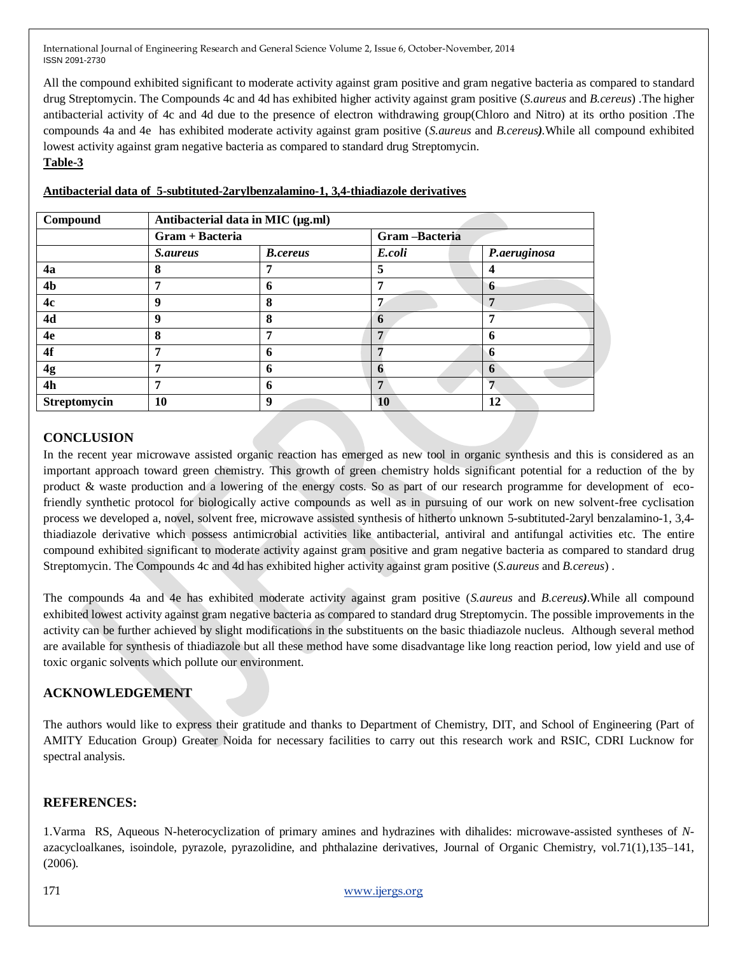All the compound exhibited significant to moderate activity against gram positive and gram negative bacteria as compared to standard drug Streptomycin. The Compounds 4c and 4d has exhibited higher activity against gram positive (*S.aureus* and *B.cereus*) .The higher antibacterial activity of 4c and 4d due to the presence of electron withdrawing group(Chloro and Nitro) at its ortho position .The compounds 4a and 4e has exhibited moderate activity against gram positive (*S.aureus* and *B.cereus).*While all compound exhibited lowest activity against gram negative bacteria as compared to standard drug Streptomycin. **Table-3** 

| Compound       | Antibacterial data in MIC (µg.ml) |                 |               |              |  |  |
|----------------|-----------------------------------|-----------------|---------------|--------------|--|--|
|                | Gram + Bacteria                   |                 | Gram-Bacteria |              |  |  |
|                | <i>S.aureus</i>                   | <b>B.cereus</b> | E.coli        | P.aeruginosa |  |  |
| 4a             | 8                                 |                 | 5             |              |  |  |
| 4 <sub>b</sub> | 7                                 | n               |               | n            |  |  |
| 4c             | 9                                 | 8               | 7             |              |  |  |
| 4d             | 9                                 | 8               | 6             |              |  |  |
| 4e             | 8                                 |                 | 7             | n            |  |  |
| 4f             | 7                                 | n               |               |              |  |  |
| 4g             | 7                                 | n               |               | <sup>0</sup> |  |  |
| 4h             | 7                                 | n               | 7             |              |  |  |
| Streptomycin   | 10                                | 9               | 10            | 12           |  |  |

#### **Antibacterial data of 5-subtituted-2arylbenzalamino-1, 3,4-thiadiazole derivatives**

# **CONCLUSION**

In the recent year microwave assisted organic reaction has emerged as new tool in organic synthesis and this is considered as an important approach toward green chemistry. This growth of green chemistry holds significant potential for a reduction of the by product & waste production and a lowering of the energy costs. So as part of our research programme for development of ecofriendly synthetic protocol for biologically active compounds as well as in pursuing of our work on new solvent-free cyclisation process we developed a, novel, solvent free, microwave assisted synthesis of hitherto unknown 5-subtituted-2aryl benzalamino-1, 3,4 thiadiazole derivative which possess antimicrobial activities like antibacterial, antiviral and antifungal activities etc. The entire compound exhibited significant to moderate activity against gram positive and gram negative bacteria as compared to standard drug Streptomycin. The Compounds 4c and 4d has exhibited higher activity against gram positive (*S.aureus* and *B.cereus*) .

The compounds 4a and 4e has exhibited moderate activity against gram positive (*S.aureus* and *B.cereus).*While all compound exhibited lowest activity against gram negative bacteria as compared to standard drug Streptomycin. The possible improvements in the activity can be further achieved by slight modifications in the substituents on the basic thiadiazole nucleus. Although several method are available for synthesis of thiadiazole but all these method have some disadvantage like long reaction period, low yield and use of toxic organic solvents which pollute our environment.

# **ACKNOWLEDGEMENT**

The authors would like to express their gratitude and thanks to Department of Chemistry, DIT, and School of Engineering (Part of AMITY Education Group) Greater Noida for necessary facilities to carry out this research work and RSIC, CDRI Lucknow for spectral analysis.

#### **REFERENCES:**

1.Varma RS, Aqueous N-heterocyclization of primary amines and hydrazines with dihalides: microwave-assisted syntheses of *N*azacycloalkanes, isoindole, pyrazole, pyrazolidine, and phthalazine derivatives, Journal of Organic Chemistry, vol.71(1),135–141, (2006).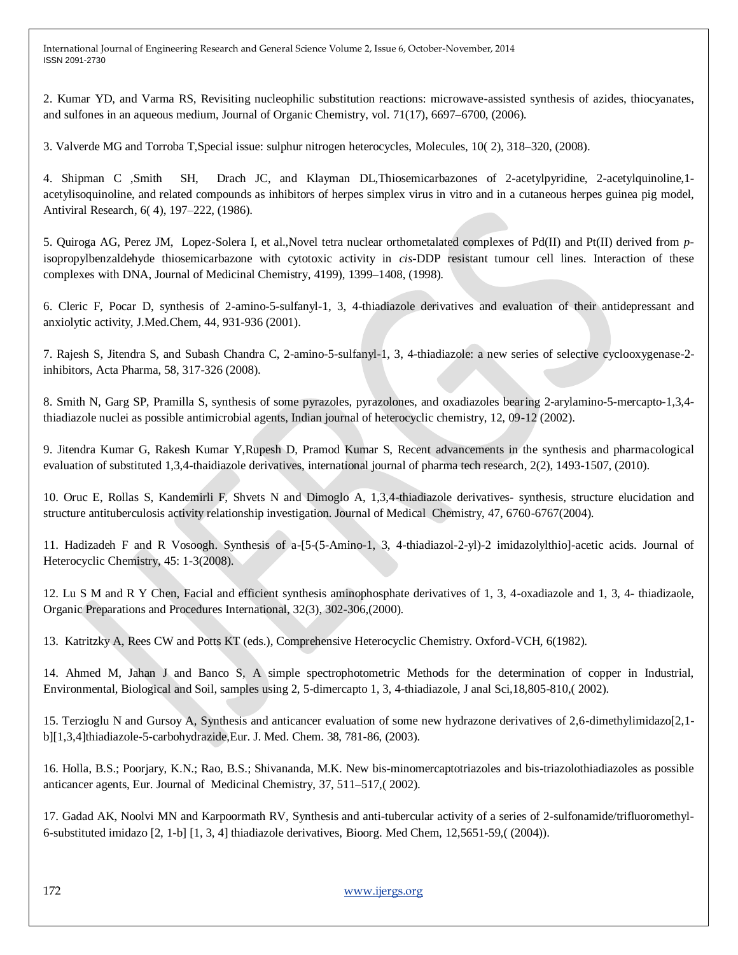2. Kumar YD, and Varma RS, Revisiting nucleophilic substitution reactions: microwave-assisted synthesis of azides, thiocyanates, and sulfones in an aqueous medium, Journal of Organic Chemistry, vol. 71(17), 6697–6700, (2006).

3. Valverde MG and Torroba T,Special issue: sulphur nitrogen heterocycles, Molecules, 10( 2), 318–320, (2008).

4. Shipman C ,Smith SH, Drach JC, and Klayman DL,Thiosemicarbazones of 2-acetylpyridine, 2-acetylquinoline,1 acetylisoquinoline, and related compounds as inhibitors of herpes simplex virus in vitro and in a cutaneous herpes guinea pig model, Antiviral Research, 6( 4), 197–222, (1986).

5. Quiroga AG, Perez JM, Lopez-Solera I, et al.,Novel tetra nuclear orthometalated complexes of Pd(II) and Pt(II) derived from *p*isopropylbenzaldehyde thiosemicarbazone with cytotoxic activity in *cis*-DDP resistant tumour cell lines. Interaction of these complexes with DNA, Journal of Medicinal Chemistry, 4199), 1399–1408, (1998).

6. Cleric F, Pocar D, synthesis of 2-amino-5-sulfanyl-1, 3, 4-thiadiazole derivatives and evaluation of their antidepressant and anxiolytic activity, J.Med.Chem, 44, 931-936 (2001).

7. Rajesh S, Jitendra S, and Subash Chandra C, 2-amino-5-sulfanyl-1, 3, 4-thiadiazole: a new series of selective cyclooxygenase-2 inhibitors, Acta Pharma, 58, 317-326 (2008).

8. Smith N, Garg SP, Pramilla S, synthesis of some pyrazoles, pyrazolones, and oxadiazoles bearing 2-arylamino-5-mercapto-1,3,4 thiadiazole nuclei as possible antimicrobial agents, Indian journal of heterocyclic chemistry, 12, 09-12 (2002).

9. Jitendra Kumar G, Rakesh Kumar Y,Rupesh D, Pramod Kumar S, Recent advancements in the synthesis and pharmacological evaluation of substituted 1,3,4-thaidiazole derivatives, international journal of pharma tech research, 2(2), 1493-1507, (2010).

10. Oruc E, Rollas S, Kandemirli F, Shvets N and Dimoglo A, 1,3,4-thiadiazole derivatives- synthesis, structure elucidation and structure antituberculosis activity relationship investigation. Journal of Medical Chemistry, 47, 6760-6767(2004).

11. Hadizadeh F and R Vosoogh. Synthesis of a-[5-(5-Amino-1, 3, 4-thiadiazol-2-yl)-2 imidazolylthio]-acetic acids. Journal of Heterocyclic Chemistry, 45: 1-3(2008).

12. Lu S M and R Y Chen, Facial and efficient synthesis aminophosphate derivatives of 1, 3, 4-oxadiazole and 1, 3, 4- thiadizaole, Organic Preparations and Procedures International, 32(3), 302-306,(2000).

13. Katritzky A, Rees CW and Potts KT (eds.), Comprehensive Heterocyclic Chemistry. Oxford-VCH, 6(1982).

14. Ahmed M, Jahan J and Banco S, A simple spectrophotometric Methods for the determination of copper in Industrial, Environmental, Biological and Soil, samples using 2, 5-dimercapto 1, 3, 4-thiadiazole, J anal Sci,18,805-810,( 2002).

15. Terzioglu N and Gursoy A, Synthesis and anticancer evaluation of some new hydrazone derivatives of 2,6-dimethylimidazo[2,1 b][1,3,4]thiadiazole-5-carbohydrazide,Eur. J. Med. Chem. 38, 781-86, (2003).

16. Holla, B.S.; Poorjary, K.N.; Rao, B.S.; Shivananda, M.K. New bis-minomercaptotriazoles and bis-triazolothiadiazoles as possible anticancer agents, Eur. Journal of Medicinal Chemistry, 37, 511–517,( 2002).

17. Gadad AK, Noolvi MN and Karpoormath RV, Synthesis and anti-tubercular activity of a series of 2-sulfonamide/trifluoromethyl-6-substituted imidazo [2, 1-b] [1, 3, 4] thiadiazole derivatives, Bioorg. Med Chem, 12,5651-59,( (2004)).